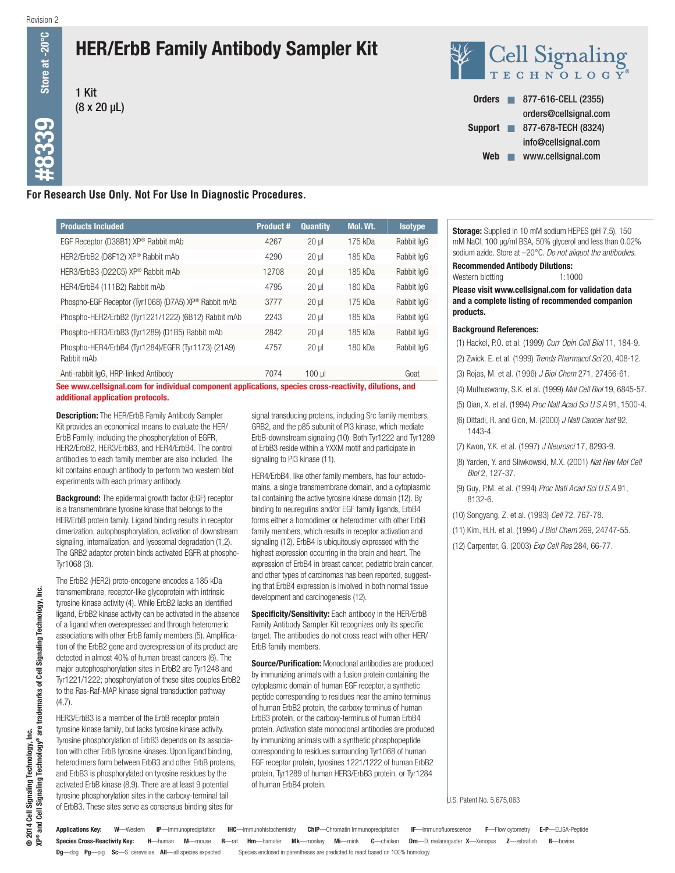$\#8339$  Store at -20°C

**9339** 

Store at -20

# HER/ErbB Family Antibody Sampler Kit







# **For Research Use Only. Not For Use In Diagnostic Procedures.**

| <b>Products Included</b>                                         | <b>Product #</b> | <b>Quantity</b> | Mol. Wt. | <b>Isotype</b> |
|------------------------------------------------------------------|------------------|-----------------|----------|----------------|
| EGF Receptor (D38B1) XP® Rabbit mAb                              | 4267             | $20 \mu$        | 175 kDa  | Rabbit IqG     |
| HER2/ErbB2 (D8F12) XP® Rabbit mAb                                | 4290             | $20 \mu$        | 185 kDa  | Rabbit IqG     |
| HER3/ErbB3 (D22C5) XP® Rabbit mAb                                | 12708            | $20 \mu$        | 185 kDa  | Rabbit IqG     |
| HER4/ErbB4 (111B2) Rabbit mAb                                    | 4795             | $20$ ul         | 180 kDa  | Rabbit IgG     |
| Phospho-EGF Receptor (Tyr1068) (D7A5) XP® Rabbit mAb             | 3777             | $20$ ul         | 175 kDa  | Rabbit IqG     |
| Phospho-HER2/ErbB2 (Tyr1221/1222) (6B12) Rabbit mAb              | 2243             | $20$ ul         | 185 kDa  | Rabbit IgG     |
| Phospho-HER3/ErbB3 (Tyr1289) (D1B5) Rabbit mAb                   | 2842             | $20$ ul         | 185 kDa  | Rabbit lgG     |
| Phospho-HER4/ErbB4 (Tyr1284)/EGFR (Tyr1173) (21A9)<br>Rabbit mAb | 4757             | $20$ ul         | 180 kDa  | Rabbit IgG     |
| Anti-rabbit IgG. HRP-linked Antibody                             | 7074             | 100 ul          |          | Goat           |

See www.cellsignal.com for individual component applications, species cross-reactivity, dilutions, and additional application protocols.

**Description:** The HER/ErbB Family Antibody Sampler Kit provides an economical means to evaluate the HER/ ErbB Family, including the phosphorylation of EGFR, HER2/ErbB2, HER3/ErbB3, and HER4/ErbB4. The control antibodies to each family member are also included. The kit contains enough antibody to perform two western blot experiments with each primary antibody.

**Background:** The epidermal growth factor (EGF) receptor is a transmembrane tyrosine kinase that belongs to the HER/ErbB protein family. Ligand binding results in receptor dimerization, autophosphorylation, activation of downstream signaling, internalization, and lysosomal degradation (1,2). The GRB2 adaptor protein binds activated EGFR at phospho-Tyr1068 (3).

The ErbB2 (HER2) proto-oncogene encodes a 185 kDa transmembrane, receptor-like glycoprotein with intrinsic tyrosine kinase activity (4). While ErbB2 lacks an identified ligand, ErbB2 kinase activity can be activated in the absence of a ligand when overexpressed and through heteromeric associations with other ErbB family members (5). Amplification of the ErbB2 gene and overexpression of its product are detected in almost 40% of human breast cancers (6). The major autophosphorylation sites in ErbB2 are Tyr1248 and Tyr1221/1222; phosphorylation of these sites couples ErbB2 to the Ras-Raf-MAP kinase signal transduction pathway (4,7).

HER3/ErbB3 is a member of the ErbB receptor protein tyrosine kinase family, but lacks tyrosine kinase activity. Tyrosine phosphorylation of ErbB3 depends on its association with other ErbB tyrosine kinases. Upon ligand binding, heterodimers form between ErbB3 and other ErbB proteins, and ErbB3 is phosphorylated on tyrosine residues by the activated ErbB kinase (8,9). There are at least 9 potential tyrosine phosphorylation sites in the carboxy-terminal tail of ErbB3. These sites serve as consensus binding sites for

signal transducing proteins, including Src family members, GRB2, and the p85 subunit of PI3 kinase, which mediate ErbB-downstream signaling (10). Both Tyr1222 and Tyr1289 of ErbB3 reside within a YXXM motif and participate in signaling to PI3 kinase (11).

HER4/ErbB4, like other family members, has four ectodomains, a single transmembrane domain, and a cytoplasmic tail containing the active tyrosine kinase domain (12). By binding to neuregulins and/or EGF family ligands, ErbB4 forms either a homodimer or heterodimer with other ErbB family members, which results in receptor activation and signaling (12). ErbB4 is ubiquitously expressed with the highest expression occurring in the brain and heart. The expression of ErbB4 in breast cancer, pediatric brain cancer, and other types of carcinomas has been reported, suggesting that ErbB4 expression is involved in both normal tissue development and carcinogenesis (12).

Specificity/Sensitivity: Each antibody in the HER/ErbB Family Antibody Sampler Kit recognizes only its specific target. The antibodies do not cross react with other HER/ ErbB family members.

**Source/Purification:** Monoclonal antibodies are produced by immunizing animals with a fusion protein containing the cytoplasmic domain of human EGF receptor, a synthetic peptide corresponding to residues near the amino terminus of human ErbB2 protein, the carboxy terminus of human ErbB3 protein, or the carboxy-terminus of human ErbB4 protein. Activation state monoclonal antibodies are produced by immunizing animals with a synthetic phosphopeptide corresponding to residues surrounding Tyr1068 of human EGF receptor protein, tyrosines 1221/1222 of human ErbB2 protein, Tyr1289 of human HER3/ErbB3 protein, or Tyr1284 of human ErbB4 protein.

Storage: Supplied in 10 mM sodium HEPES (pH 7.5), 150 mM NaCl, 100 µg/ml BSA, 50% glycerol and less than 0.02% sodium azide. Store at –20°C. *Do not aliquot the antibodies.*

Recommended Antibody Dilutions:

Western blotting 1:1000

Please visit www.cellsignal.com for validation data and a complete listing of recommended companion products.

#### Background References:

- (1) Hackel, P.O. et al. (1999) *Curr Opin Cell Biol* 11, 184-9.
- (2) Zwick, E. et al. (1999) *Trends Pharmacol Sci* 20, 408-12.
- (3) Rojas, M. et al. (1996) *J Biol Chem* 271, 27456-61.
- (4) Muthuswamy, S.K. et al. (1999) *Mol Cell Biol* 19, 6845-57.
- (5) Qian, X. et al. (1994) *Proc Natl Acad Sci U S A* 91, 1500-4.
- (6) Dittadi, R. and Gion, M. (2000) *J Natl Cancer Inst* 92, 1443-4.
- (7) Kwon, Y.K. et al. (1997) *J Neurosci* 17, 8293-9.
- (8) Yarden, Y. and Sliwkowski, M.X. (2001) *Nat Rev Mol Cell Biol* 2, 127-37.
- (9) Guy, P.M. et al. (1994) *Proc Natl Acad Sci U S A* 91, 8132-6.
- (10) Songyang, Z. et al. (1993) *Cell* 72, 767-78.
- (11) Kim, H.H. et al. (1994) *J Biol Chem* 269, 24747-55.
- (12) Carpenter, G. (2003) *Exp Cell Res* 284, 66-77.

U.S. Patent No. 5,675,063

Species Cross-Reactivity Key: H—human M—mouse R—rat Hm—hamster Mk—monkey Mi—mink C—chicken Dm—D. melanogaster X—Xenopus Z—zebrafish B—bovine Dg—dog Pg—pig Sc—S. cerevisiae All—all species expected Species enclosed in parentheses are predicted to react based on 100% homology. Applications Key: W—Western IP—Immunoprecipitation IHC—Immunohistochemistry ChIP—Chromatin Immunoprecipitation IF—Immunofluorescence F—Flow cytometry E-P—ELISA-Peptide